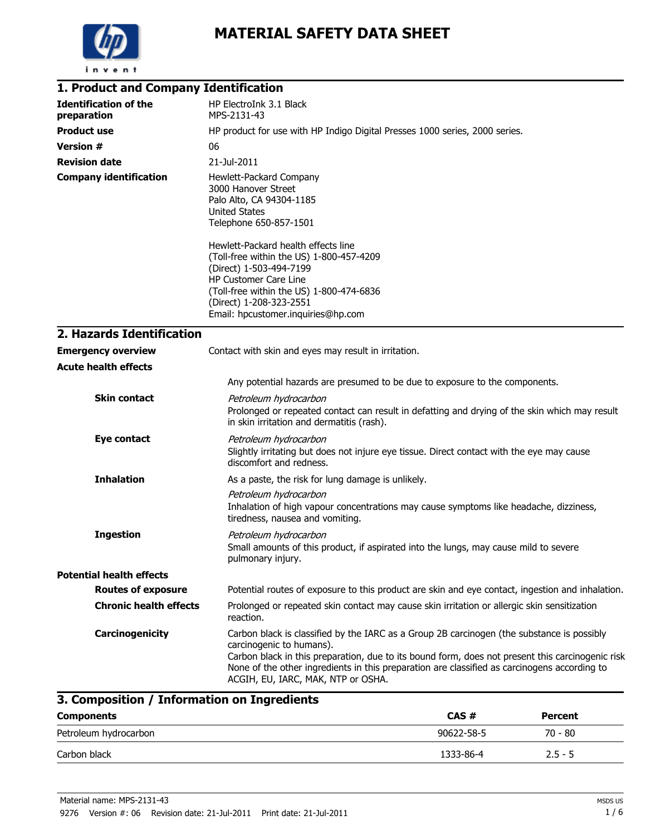

| 1. Product and Company Identification       |                                                                                                                                                                                                                                                                                                                                                                  |  |  |
|---------------------------------------------|------------------------------------------------------------------------------------------------------------------------------------------------------------------------------------------------------------------------------------------------------------------------------------------------------------------------------------------------------------------|--|--|
| <b>Identification of the</b><br>preparation | HP ElectroInk 3.1 Black<br>MPS-2131-43                                                                                                                                                                                                                                                                                                                           |  |  |
| <b>Product use</b>                          | HP product for use with HP Indigo Digital Presses 1000 series, 2000 series.                                                                                                                                                                                                                                                                                      |  |  |
| <b>Version #</b>                            | 06                                                                                                                                                                                                                                                                                                                                                               |  |  |
| <b>Revision date</b>                        | 21-Jul-2011                                                                                                                                                                                                                                                                                                                                                      |  |  |
| <b>Company identification</b>               | Hewlett-Packard Company<br>3000 Hanover Street<br>Palo Alto, CA 94304-1185<br><b>United States</b><br>Telephone 650-857-1501                                                                                                                                                                                                                                     |  |  |
|                                             | Hewlett-Packard health effects line<br>(Toll-free within the US) 1-800-457-4209<br>(Direct) 1-503-494-7199<br>HP Customer Care Line<br>(Toll-free within the US) 1-800-474-6836<br>(Direct) 1-208-323-2551<br>Email: hpcustomer.inquiries@hp.com                                                                                                                 |  |  |
| 2. Hazards Identification                   |                                                                                                                                                                                                                                                                                                                                                                  |  |  |
| <b>Emergency overview</b>                   | Contact with skin and eyes may result in irritation.                                                                                                                                                                                                                                                                                                             |  |  |
| <b>Acute health effects</b>                 |                                                                                                                                                                                                                                                                                                                                                                  |  |  |
|                                             | Any potential hazards are presumed to be due to exposure to the components.                                                                                                                                                                                                                                                                                      |  |  |
| <b>Skin contact</b>                         | Petroleum hydrocarbon<br>Prolonged or repeated contact can result in defatting and drying of the skin which may result<br>in skin irritation and dermatitis (rash).                                                                                                                                                                                              |  |  |
| <b>Eye contact</b>                          | Petroleum hydrocarbon<br>Slightly irritating but does not injure eye tissue. Direct contact with the eye may cause<br>discomfort and redness.                                                                                                                                                                                                                    |  |  |
| <b>Inhalation</b>                           | As a paste, the risk for lung damage is unlikely.                                                                                                                                                                                                                                                                                                                |  |  |
|                                             | Petroleum hydrocarbon<br>Inhalation of high vapour concentrations may cause symptoms like headache, dizziness,<br>tiredness, nausea and vomiting.                                                                                                                                                                                                                |  |  |
| <b>Ingestion</b>                            | Petroleum hydrocarbon<br>Small amounts of this product, if aspirated into the lungs, may cause mild to severe<br>pulmonary injury.                                                                                                                                                                                                                               |  |  |
| <b>Potential health effects</b>             |                                                                                                                                                                                                                                                                                                                                                                  |  |  |
| <b>Routes of exposure</b>                   | Potential routes of exposure to this product are skin and eye contact, ingestion and inhalation.                                                                                                                                                                                                                                                                 |  |  |
| <b>Chronic health effects</b>               | Prolonged or repeated skin contact may cause skin irritation or allergic skin sensitization<br>reaction.                                                                                                                                                                                                                                                         |  |  |
| Carcinogenicity                             | Carbon black is classified by the IARC as a Group 2B carcinogen (the substance is possibly<br>carcinogenic to humans).<br>Carbon black in this preparation, due to its bound form, does not present this carcinogenic risk<br>None of the other ingredients in this preparation are classified as carcinogens according to<br>ACGIH, EU, IARC, MAK, NTP or OSHA. |  |  |

# **3. Composition / Information on Ingredients**

| <b>Components</b>     | CAS#       | <b>Percent</b> |  |
|-----------------------|------------|----------------|--|
| Petroleum hydrocarbon | 90622-58-5 | $70 - 80$      |  |
| Carbon black          | 1333-86-4  | $2.5 - 5$      |  |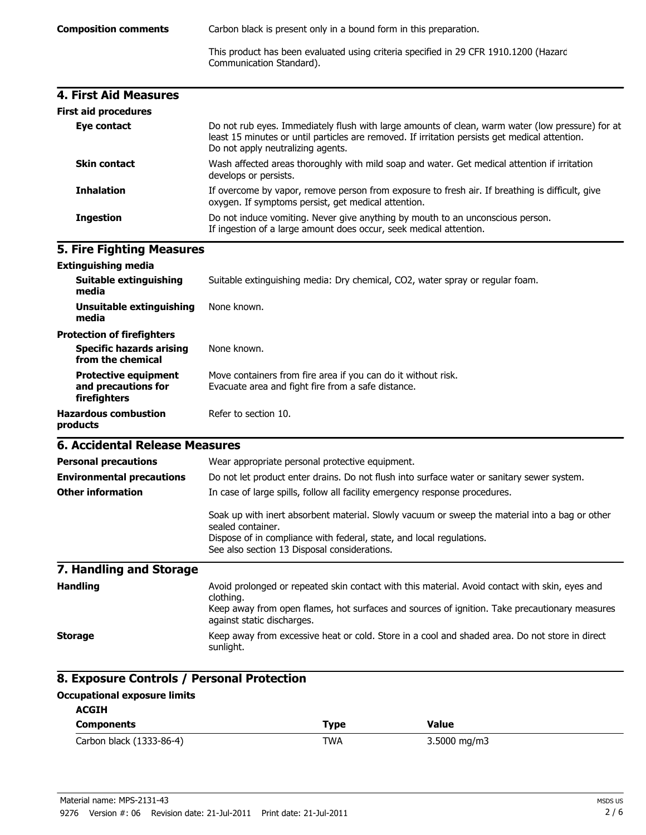This product has been evaluated using criteria specified in 29 CFR 1910.1200 (Hazard Communication Standard).

| <b>4. First Aid Measures</b> |                                                                                                                                                                                                                                         |
|------------------------------|-----------------------------------------------------------------------------------------------------------------------------------------------------------------------------------------------------------------------------------------|
| <b>First aid procedures</b>  |                                                                                                                                                                                                                                         |
| Eye contact                  | Do not rub eyes. Immediately flush with large amounts of clean, warm water (low pressure) for at<br>least 15 minutes or until particles are removed. If irritation persists get medical attention.<br>Do not apply neutralizing agents. |
| <b>Skin contact</b>          | Wash affected areas thoroughly with mild soap and water. Get medical attention if irritation<br>develops or persists.                                                                                                                   |
| <b>Inhalation</b>            | If overcome by vapor, remove person from exposure to fresh air. If breathing is difficult, give<br>oxygen. If symptoms persist, get medical attention.                                                                                  |
| <b>Ingestion</b>             | Do not induce vomiting. Never give anything by mouth to an unconscious person.<br>If ingestion of a large amount does occur, seek medical attention.                                                                                    |

## **5. Fire Fighting Measures**

| <b>Extinguishing media</b>                                         |                                                                                                                                                                                                                                             |  |  |
|--------------------------------------------------------------------|---------------------------------------------------------------------------------------------------------------------------------------------------------------------------------------------------------------------------------------------|--|--|
| <b>Suitable extinguishing</b><br>media                             | Suitable extinguishing media: Dry chemical, CO2, water spray or regular foam.                                                                                                                                                               |  |  |
| <b>Unsuitable extinguishing</b><br>media                           | None known.                                                                                                                                                                                                                                 |  |  |
| <b>Protection of firefighters</b>                                  |                                                                                                                                                                                                                                             |  |  |
| <b>Specific hazards arising</b><br>from the chemical               | None known.                                                                                                                                                                                                                                 |  |  |
| <b>Protective equipment</b><br>and precautions for<br>firefighters | Move containers from fire area if you can do it without risk.<br>Evacuate area and fight fire from a safe distance.                                                                                                                         |  |  |
| <b>Hazardous combustion</b><br>products                            | Refer to section 10.                                                                                                                                                                                                                        |  |  |
| 6. Accidental Release Measures                                     |                                                                                                                                                                                                                                             |  |  |
| <b>Personal precautions</b>                                        | Wear appropriate personal protective equipment.                                                                                                                                                                                             |  |  |
| <b>Environmental precautions</b>                                   | Do not let product enter drains. Do not flush into surface water or sanitary sewer system.                                                                                                                                                  |  |  |
| <b>Other information</b>                                           | In case of large spills, follow all facility emergency response procedures.                                                                                                                                                                 |  |  |
|                                                                    | Soak up with inert absorbent material. Slowly vacuum or sweep the material into a bag or other<br>sealed container.<br>Dispose of in compliance with federal, state, and local regulations.<br>See also section 13 Disposal considerations. |  |  |
| 7. Handling and Storage                                            |                                                                                                                                                                                                                                             |  |  |
| <b>Handling</b>                                                    | Avoid prolonged or repeated skin contact with this material. Avoid contact with skin, eyes and<br>clothing.<br>Keep away from open flames, hot surfaces and sources of ignition. Take precautionary measures<br>against static discharges.  |  |  |
| <b>Storage</b>                                                     | Keep away from excessive heat or cold. Store in a cool and shaded area. Do not store in direct<br>sunlight.                                                                                                                                 |  |  |

## **8. Exposure Controls / Personal Protection**

#### **ACGIH Occupational exposure limits**

| ALUIN                    |            |              |  |
|--------------------------|------------|--------------|--|
| <b>Components</b>        | Type       | Value        |  |
| Carbon black (1333-86-4) | <b>TWA</b> | 3.5000 mg/m3 |  |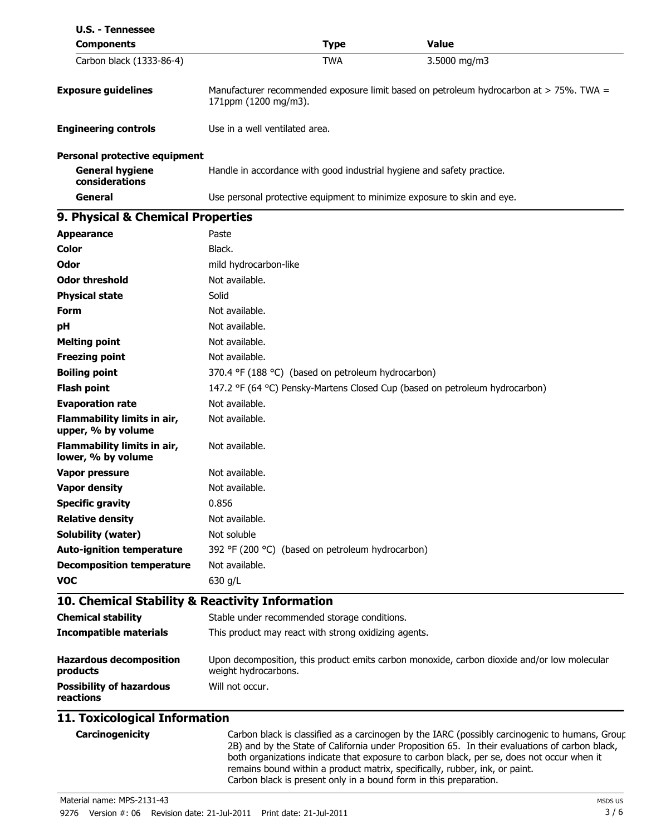| <b>U.S. - Tennessee</b>                                                          |                                |                                                      |                                                                                             |
|----------------------------------------------------------------------------------|--------------------------------|------------------------------------------------------|---------------------------------------------------------------------------------------------|
| <b>Components</b>                                                                | <b>Value</b><br><b>Type</b>    |                                                      |                                                                                             |
| Carbon black (1333-86-4)                                                         |                                | <b>TWA</b>                                           | 3.5000 mg/m3                                                                                |
| <b>Exposure guidelines</b>                                                       | 171ppm (1200 mg/m3).           |                                                      | Manufacturer recommended exposure limit based on petroleum hydrocarbon at > 75%. TWA =      |
| <b>Engineering controls</b>                                                      | Use in a well ventilated area. |                                                      |                                                                                             |
| <b>Personal protective equipment</b><br><b>General hygiene</b><br>considerations |                                |                                                      | Handle in accordance with good industrial hygiene and safety practice.                      |
| General                                                                          |                                |                                                      | Use personal protective equipment to minimize exposure to skin and eye.                     |
| 9. Physical & Chemical Properties                                                |                                |                                                      |                                                                                             |
| <b>Appearance</b>                                                                | Paste                          |                                                      |                                                                                             |
| Color                                                                            | Black.                         |                                                      |                                                                                             |
| Odor                                                                             | mild hydrocarbon-like          |                                                      |                                                                                             |
| <b>Odor threshold</b>                                                            | Not available.                 |                                                      |                                                                                             |
| <b>Physical state</b>                                                            | Solid                          |                                                      |                                                                                             |
| <b>Form</b>                                                                      | Not available.                 |                                                      |                                                                                             |
| рH                                                                               | Not available.                 |                                                      |                                                                                             |
| <b>Melting point</b>                                                             | Not available.                 |                                                      |                                                                                             |
| <b>Freezing point</b>                                                            | Not available.                 |                                                      |                                                                                             |
| <b>Boiling point</b>                                                             |                                | 370.4 °F (188 °C) (based on petroleum hydrocarbon)   |                                                                                             |
| <b>Flash point</b>                                                               |                                |                                                      | 147.2 °F (64 °C) Pensky-Martens Closed Cup (based on petroleum hydrocarbon)                 |
| <b>Evaporation rate</b>                                                          | Not available.                 |                                                      |                                                                                             |
| Flammability limits in air,<br>upper, % by volume                                | Not available.                 |                                                      |                                                                                             |
| Flammability limits in air,<br>lower, % by volume                                | Not available.                 |                                                      |                                                                                             |
| <b>Vapor pressure</b>                                                            | Not available.                 |                                                      |                                                                                             |
| <b>Vapor density</b>                                                             | Not available.                 |                                                      |                                                                                             |
| <b>Specific gravity</b>                                                          | 0.856                          |                                                      |                                                                                             |
| <b>Relative density</b>                                                          | Not available.                 |                                                      |                                                                                             |
| Solubility (water)                                                               | Not soluble                    |                                                      |                                                                                             |
| <b>Auto-ignition temperature</b>                                                 |                                | 392 °F (200 °C) (based on petroleum hydrocarbon)     |                                                                                             |
| <b>Decomposition temperature</b>                                                 | Not available.                 |                                                      |                                                                                             |
| <b>VOC</b>                                                                       | 630 g/L                        |                                                      |                                                                                             |
| 10. Chemical Stability & Reactivity Information                                  |                                |                                                      |                                                                                             |
| <b>Chemical stability</b>                                                        |                                | Stable under recommended storage conditions.         |                                                                                             |
| <b>Incompatible materials</b>                                                    |                                | This product may react with strong oxidizing agents. |                                                                                             |
| <b>Hazardous decomposition</b><br>products                                       | weight hydrocarbons.           |                                                      | Upon decomposition, this product emits carbon monoxide, carbon dioxide and/or low molecular |
| <b>Possibility of hazardous</b><br>reactions                                     | Will not occur.                |                                                      |                                                                                             |
| 11 Tovicological Information                                                     |                                |                                                      |                                                                                             |

### **11. Toxicological Information**

**Carcinogenicity** Carbon black is classified as a carcinogen by the IARC (possibly carcinogenic to humans, Group 2B) and by the State of California under Proposition 65. In their evaluations of carbon black, both organizations indicate that exposure to carbon black, per se, does not occur when it remains bound within a product matrix, specifically, rubber, ink, or paint. Carbon black is present only in a bound form in this preparation.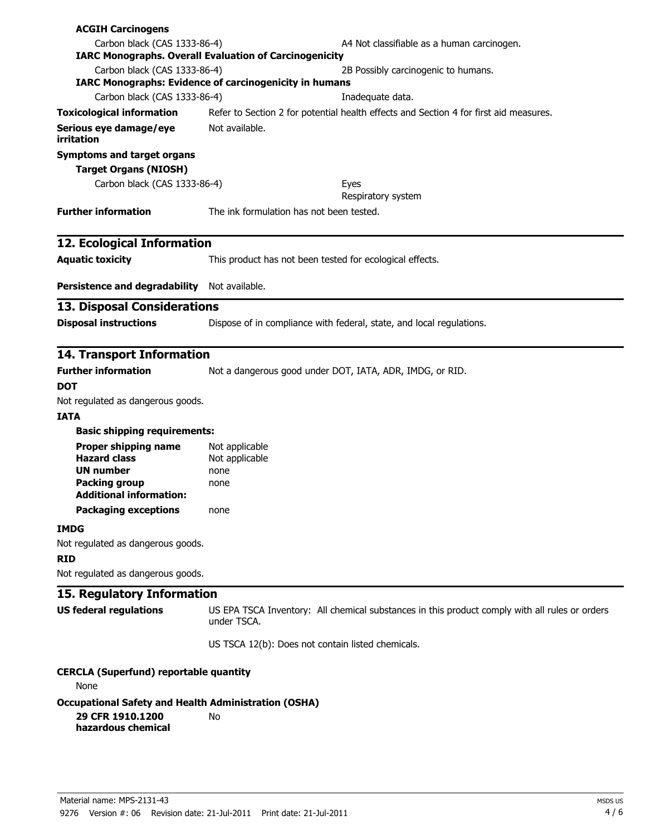| <b>ACGIH Carcinogens</b>                               |                                                                                                               |  |  |
|--------------------------------------------------------|---------------------------------------------------------------------------------------------------------------|--|--|
| Carbon black (CAS 1333-86-4)                           | A4 Not classifiable as a human carcinogen.                                                                    |  |  |
|                                                        | <b>IARC Monographs. Overall Evaluation of Carcinogenicity</b>                                                 |  |  |
| Carbon black (CAS 1333-86-4)                           | 2B Possibly carcinogenic to humans.<br><b>IARC Monographs: Evidence of carcinogenicity in humans</b>          |  |  |
| Carbon black (CAS 1333-86-4)                           | Inadequate data.                                                                                              |  |  |
| <b>Toxicological information</b>                       | Refer to Section 2 for potential health effects and Section 4 for first aid measures.                         |  |  |
| Serious eye damage/eye<br>irritation                   | Not available.                                                                                                |  |  |
| <b>Symptoms and target organs</b>                      |                                                                                                               |  |  |
| <b>Target Organs (NIOSH)</b>                           |                                                                                                               |  |  |
| Carbon black (CAS 1333-86-4)                           | Eyes<br>Respiratory system                                                                                    |  |  |
| <b>Further information</b>                             | The ink formulation has not been tested.                                                                      |  |  |
| 12. Ecological Information                             |                                                                                                               |  |  |
| <b>Aquatic toxicity</b>                                | This product has not been tested for ecological effects.                                                      |  |  |
| Persistence and degradability Not available.           |                                                                                                               |  |  |
| <b>13. Disposal Considerations</b>                     |                                                                                                               |  |  |
| <b>Disposal instructions</b>                           | Dispose of in compliance with federal, state, and local regulations.                                          |  |  |
| <b>14. Transport Information</b>                       |                                                                                                               |  |  |
| <b>Further information</b>                             | Not a dangerous good under DOT, IATA, ADR, IMDG, or RID.                                                      |  |  |
| <b>DOT</b>                                             |                                                                                                               |  |  |
| Not regulated as dangerous goods.                      |                                                                                                               |  |  |
| <b>IATA</b>                                            |                                                                                                               |  |  |
| <b>Basic shipping requirements:</b>                    |                                                                                                               |  |  |
| Proper shipping name<br><b>Hazard class</b>            | Not applicable                                                                                                |  |  |
| <b>UN number</b>                                       | Not applicable<br>none                                                                                        |  |  |
| <b>Packing group</b><br><b>Additional information:</b> | none                                                                                                          |  |  |
| <b>Packaging exceptions</b>                            | none                                                                                                          |  |  |
| <b>IMDG</b>                                            |                                                                                                               |  |  |
| Not regulated as dangerous goods.                      |                                                                                                               |  |  |
| <b>RID</b>                                             |                                                                                                               |  |  |
| Not regulated as dangerous goods.                      |                                                                                                               |  |  |
| 15. Regulatory Information                             |                                                                                                               |  |  |
| <b>US federal regulations</b>                          | US EPA TSCA Inventory: All chemical substances in this product comply with all rules or orders<br>under TSCA. |  |  |
|                                                        | US TSCA 12(b): Does not contain listed chemicals.                                                             |  |  |
| <b>CERCLA (Superfund) reportable quantity</b><br>None  |                                                                                                               |  |  |

**Occupational Safety and Health Administration (OSHA) 29 CFR 1910.1200 hazardous chemical** No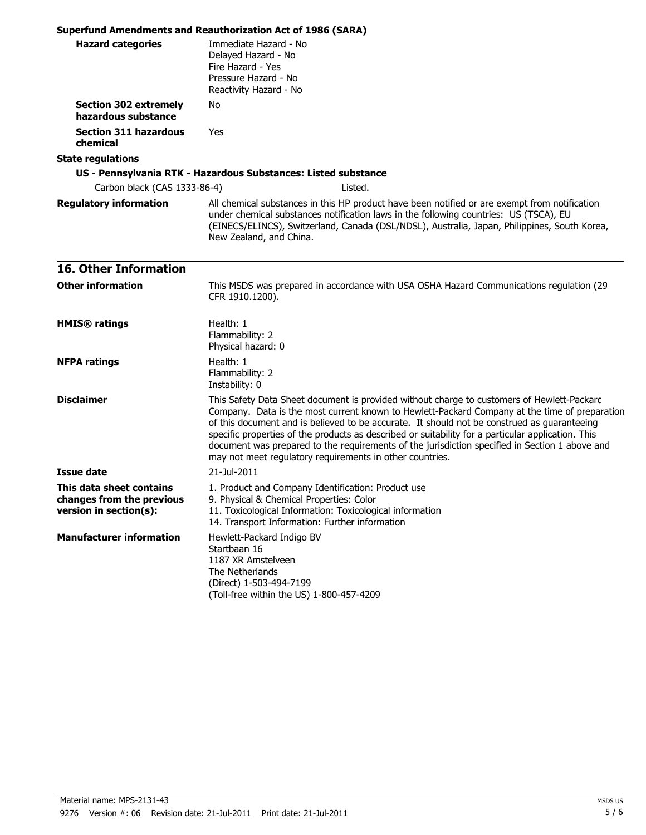|                                                                                 | <b>Superfund Amendments and Reauthorization Act of 1986 (SARA)</b>                                                                                                                                                                                                                                                                                                                                                                                                                                                                                             |  |  |
|---------------------------------------------------------------------------------|----------------------------------------------------------------------------------------------------------------------------------------------------------------------------------------------------------------------------------------------------------------------------------------------------------------------------------------------------------------------------------------------------------------------------------------------------------------------------------------------------------------------------------------------------------------|--|--|
| <b>Hazard categories</b>                                                        | Immediate Hazard - No<br>Delayed Hazard - No<br>Fire Hazard - Yes<br>Pressure Hazard - No<br>Reactivity Hazard - No                                                                                                                                                                                                                                                                                                                                                                                                                                            |  |  |
| <b>Section 302 extremely</b><br>hazardous substance                             | No                                                                                                                                                                                                                                                                                                                                                                                                                                                                                                                                                             |  |  |
| <b>Section 311 hazardous</b><br>chemical                                        | Yes                                                                                                                                                                                                                                                                                                                                                                                                                                                                                                                                                            |  |  |
| <b>State regulations</b>                                                        |                                                                                                                                                                                                                                                                                                                                                                                                                                                                                                                                                                |  |  |
|                                                                                 | US - Pennsylvania RTK - Hazardous Substances: Listed substance                                                                                                                                                                                                                                                                                                                                                                                                                                                                                                 |  |  |
| Carbon black (CAS 1333-86-4)                                                    | Listed.                                                                                                                                                                                                                                                                                                                                                                                                                                                                                                                                                        |  |  |
| <b>Regulatory information</b>                                                   | All chemical substances in this HP product have been notified or are exempt from notification<br>under chemical substances notification laws in the following countries: US (TSCA), EU<br>(EINECS/ELINCS), Switzerland, Canada (DSL/NDSL), Australia, Japan, Philippines, South Korea,<br>New Zealand, and China.                                                                                                                                                                                                                                              |  |  |
| <b>16. Other Information</b>                                                    |                                                                                                                                                                                                                                                                                                                                                                                                                                                                                                                                                                |  |  |
| <b>Other information</b>                                                        | This MSDS was prepared in accordance with USA OSHA Hazard Communications regulation (29<br>CFR 1910.1200).                                                                                                                                                                                                                                                                                                                                                                                                                                                     |  |  |
| <b>HMIS®</b> ratings                                                            | Health: 1<br>Flammability: 2<br>Physical hazard: 0                                                                                                                                                                                                                                                                                                                                                                                                                                                                                                             |  |  |
| <b>NFPA ratings</b>                                                             | Health: 1<br>Flammability: 2<br>Instability: 0                                                                                                                                                                                                                                                                                                                                                                                                                                                                                                                 |  |  |
| <b>Disclaimer</b>                                                               | This Safety Data Sheet document is provided without charge to customers of Hewlett-Packard<br>Company. Data is the most current known to Hewlett-Packard Company at the time of preparation<br>of this document and is believed to be accurate. It should not be construed as guaranteeing<br>specific properties of the products as described or suitability for a particular application. This<br>document was prepared to the requirements of the jurisdiction specified in Section 1 above and<br>may not meet regulatory requirements in other countries. |  |  |
| Issue date                                                                      | 21-Jul-2011                                                                                                                                                                                                                                                                                                                                                                                                                                                                                                                                                    |  |  |
| This data sheet contains<br>changes from the previous<br>version in section(s): | 1. Product and Company Identification: Product use<br>9. Physical & Chemical Properties: Color<br>11. Toxicological Information: Toxicological information<br>14. Transport Information: Further information                                                                                                                                                                                                                                                                                                                                                   |  |  |
| <b>Manufacturer information</b>                                                 | Hewlett-Packard Indigo BV<br>Startbaan 16<br>1187 XR Amstelveen<br>The Netherlands<br>(Direct) 1-503-494-7199<br>(Toll-free within the US) 1-800-457-4209                                                                                                                                                                                                                                                                                                                                                                                                      |  |  |